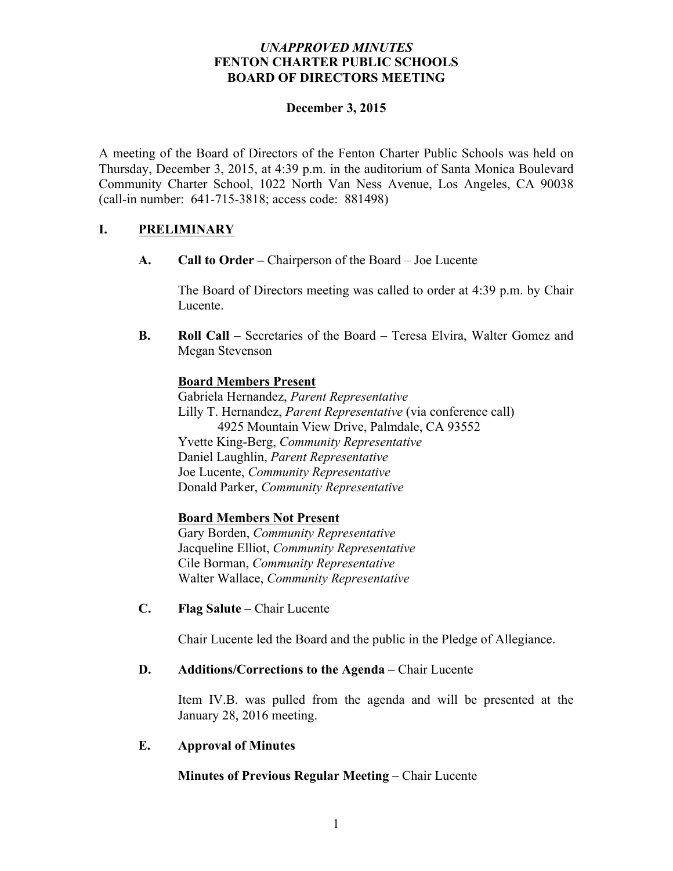## *UNAPPROVED MINUTES* **FENTON CHARTER PUBLIC SCHOOLS BOARD OF DIRECTORS MEETING**

### **December 3, 2015**

A meeting of the Board of Directors of the Fenton Charter Public Schools was held on Thursday, December 3, 2015, at 4:39 p.m. in the auditorium of Santa Monica Boulevard Community Charter School, 1022 North Van Ness Avenue, Los Angeles, CA 90038 (call-in number: 641-715-3818; access code: 881498)

# **I. PRELIMINARY**

**A. Call to Order –** Chairperson of the Board – Joe Lucente

The Board of Directors meeting was called to order at 4:39 p.m. by Chair Lucente.

**B. Roll Call** – Secretaries of the Board – Teresa Elvira, Walter Gomez and Megan Stevenson

## **Board Members Present**

Gabriela Hernandez, *Parent Representative* Lilly T. Hernandez, *Parent Representative* (via conference call) 4925 Mountain View Drive, Palmdale, CA 93552 Yvette King-Berg, *Community Representative* Daniel Laughlin, *Parent Representative* Joe Lucente, *Community Representative* Donald Parker, *Community Representative*

# **Board Members Not Present**

Gary Borden, *Community Representative* Jacqueline Elliot, *Community Representative* Cile Borman, *Community Representative* Walter Wallace, *Community Representative*

**C. Flag Salute** – Chair Lucente

Chair Lucente led the Board and the public in the Pledge of Allegiance.

### **D. Additions/Corrections to the Agenda** – Chair Lucente

Item IV.B. was pulled from the agenda and will be presented at the January 28, 2016 meeting.

### **E. Approval of Minutes**

# **Minutes of Previous Regular Meeting – Chair Lucente**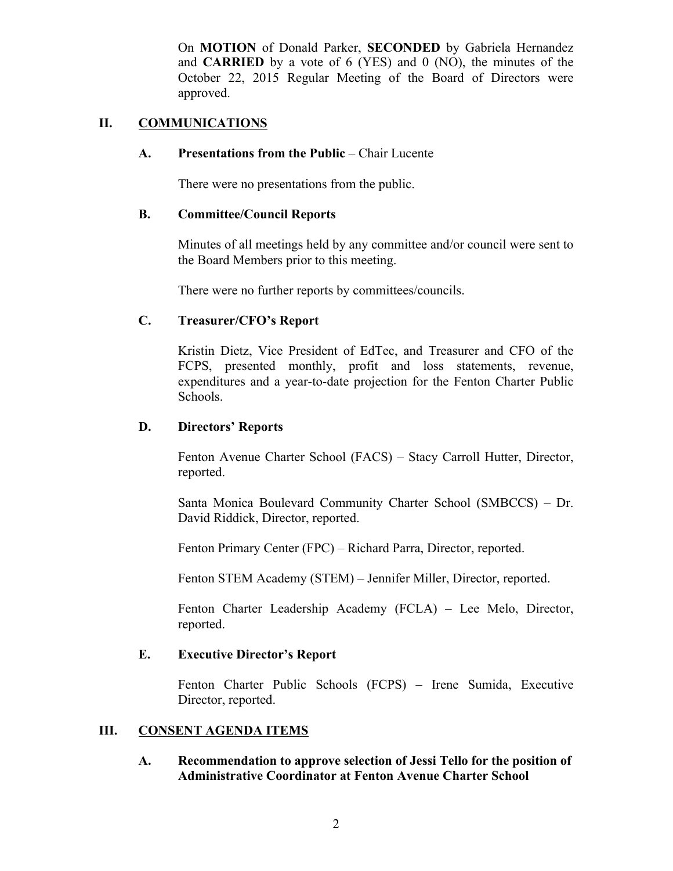On **MOTION** of Donald Parker, **SECONDED** by Gabriela Hernandez and **CARRIED** by a vote of 6 (YES) and 0 (NO), the minutes of the October 22, 2015 Regular Meeting of the Board of Directors were approved.

### **II. COMMUNICATIONS**

#### **A. Presentations from the Public** – Chair Lucente

There were no presentations from the public.

#### **B. Committee/Council Reports**

Minutes of all meetings held by any committee and/or council were sent to the Board Members prior to this meeting.

There were no further reports by committees/councils.

### **C. Treasurer/CFO's Report**

Kristin Dietz, Vice President of EdTec, and Treasurer and CFO of the FCPS, presented monthly, profit and loss statements, revenue, expenditures and a year-to-date projection for the Fenton Charter Public Schools.

#### **D. Directors' Reports**

Fenton Avenue Charter School (FACS) – Stacy Carroll Hutter, Director, reported.

Santa Monica Boulevard Community Charter School (SMBCCS) – Dr. David Riddick, Director, reported.

Fenton Primary Center (FPC) – Richard Parra, Director, reported.

Fenton STEM Academy (STEM) – Jennifer Miller, Director, reported.

Fenton Charter Leadership Academy (FCLA) – Lee Melo, Director, reported.

### **E. Executive Director's Report**

Fenton Charter Public Schools (FCPS) – Irene Sumida, Executive Director, reported.

### **III. CONSENT AGENDA ITEMS**

**A. Recommendation to approve selection of Jessi Tello for the position of Administrative Coordinator at Fenton Avenue Charter School**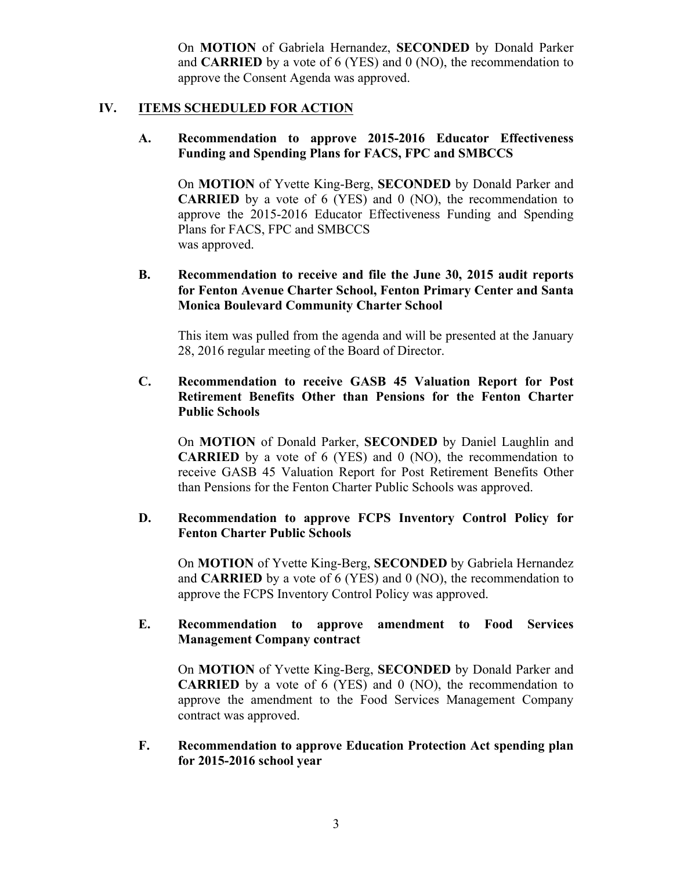On **MOTION** of Gabriela Hernandez, **SECONDED** by Donald Parker and **CARRIED** by a vote of 6 (YES) and 0 (NO), the recommendation to approve the Consent Agenda was approved.

### **IV. ITEMS SCHEDULED FOR ACTION**

#### **A. Recommendation to approve 2015-2016 Educator Effectiveness Funding and Spending Plans for FACS, FPC and SMBCCS**

On **MOTION** of Yvette King-Berg, **SECONDED** by Donald Parker and **CARRIED** by a vote of 6 (YES) and 0 (NO), the recommendation to approve the 2015-2016 Educator Effectiveness Funding and Spending Plans for FACS, FPC and SMBCCS was approved.

## **B. Recommendation to receive and file the June 30, 2015 audit reports for Fenton Avenue Charter School, Fenton Primary Center and Santa Monica Boulevard Community Charter School**

This item was pulled from the agenda and will be presented at the January 28, 2016 regular meeting of the Board of Director.

### **C. Recommendation to receive GASB 45 Valuation Report for Post Retirement Benefits Other than Pensions for the Fenton Charter Public Schools**

On **MOTION** of Donald Parker, **SECONDED** by Daniel Laughlin and **CARRIED** by a vote of 6 (YES) and 0 (NO), the recommendation to receive GASB 45 Valuation Report for Post Retirement Benefits Other than Pensions for the Fenton Charter Public Schools was approved.

## **D. Recommendation to approve FCPS Inventory Control Policy for Fenton Charter Public Schools**

On **MOTION** of Yvette King-Berg, **SECONDED** by Gabriela Hernandez and **CARRIED** by a vote of 6 (YES) and 0 (NO), the recommendation to approve the FCPS Inventory Control Policy was approved.

## **E. Recommendation to approve amendment to Food Services Management Company contract**

On **MOTION** of Yvette King-Berg, **SECONDED** by Donald Parker and **CARRIED** by a vote of 6 (YES) and 0 (NO), the recommendation to approve the amendment to the Food Services Management Company contract was approved.

### **F. Recommendation to approve Education Protection Act spending plan for 2015-2016 school year**